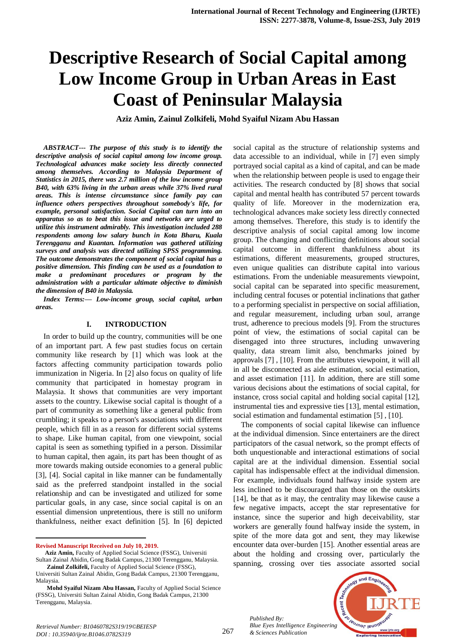# **Descriptive Research of Social Capital among Low Income Group in Urban Areas in East Coast of Peninsular Malaysia**

**Aziz Amin, Zainul Zolkifeli, Mohd Syaiful Nizam Abu Hassan** 

*ABSTRACT--- The purpose of this study is to identify the descriptive analysis of social capital among low income group. Technological advances make society less directly connected among themselves. According to Malaysia Department of Statistics in 2015, there was 2.7 million of the low income group B40, with 63% living in the urban areas while 37% lived rural areas. This is intense circumstance since family pay can influence others perspectives throughout somebody's life, for example, personal satisfaction. Social Capital can turn into an apparatus so as to beat this issue and networks are urged to utilize this instrument admirably. This investigation included 288 respondents among low salary bunch in Kota Bharu, Kuala Terengganu and Kuantan. Information was gathered utilizing surveys and analysis was directed utilizing SPSS programming. The outcome demonstrates the component of social capital has a positive dimension. This finding can be used as a foundation to make a predominant procedures or program by the administration with a particular ultimate objective to diminish the dimension of B40 in Malaysia.*

*Index Terms:— Low-income group, social capital, urban areas.*

## **I. INTRODUCTION**

In order to build up the country, communities will be one of an important part. A few past studies focus on certain community like research by [1] which was look at the factors affecting community participation towards polio immunization in Nigeria. In [2] also focus on quality of life community that participated in homestay program in Malaysia. It shows that communities are very important assets to the country. Likewise social capital is thought of a part of community as something like a general public from crumbling; it speaks to a person's associations with different people, which fill in as a reason for different social systems to shape. Like human capital, from one viewpoint, social capital is seen as something typified in a person. Dissimilar to human capital, then again, its part has been thought of as more towards making outside economies to a general public [3], [4]. Social capital in like manner can be fundamentally said as the preferred standpoint installed in the social relationship and can be investigated and utilized for some particular goals, in any case, since social capital is on an essential dimension unpretentious, there is still no uniform thankfulness, neither exact definition [5]. In [6] depicted

**Revised Manuscript Received on July 10, 2019.**

1

social capital as the structure of relationship systems and data accessible to an individual, while in [7] even simply portrayed social capital as a kind of capital, and can be made when the relationship between people is used to engage their activities. The research conducted by [8] shows that social capital and mental health has contributed 57 percent towards quality of life. Moreover in the modernization era, technological advances make society less directly connected among themselves. Therefore, this study is to identify the descriptive analysis of social capital among low income group. The changing and conflicting definitions about social capital outcome in different thankfulness about its estimations, different measurements, grouped structures, even unique qualities can distribute capital into various estimations. From the undeniable measurements viewpoint, social capital can be separated into specific measurement, including central focuses or potential inclinations that gather to a performing specialist in perspective on social affiliation, and regular measurement, including urban soul, arrange trust, adherence to precious models [9]. From the structures point of view, the estimations of social capital can be disengaged into three structures, including unwavering quality, data stream limit also, benchmarks joined by approvals [7] , [10]. From the attributes viewpoint, it will all in all be disconnected as aide estimation, social estimation, and asset estimation [11]. In addition, there are still some various decisions about the estimations of social capital, for instance, cross social capital and holding social capital [12], instrumental ties and expressive ties [13], mental estimation, social estimation and fundamental estimation [5] , [10].

The components of social capital likewise can influence at the individual dimension. Since entertainers are the direct participators of the casual network, so the prompt effects of both unquestionable and interactional estimations of social capital are at the individual dimension. Essential social capital has indispensable effect at the individual dimension. For example, individuals found halfway inside system are less inclined to be discouraged than those on the outskirts [14], be that as it may, the centrality may likewise cause a few negative impacts, accept the star representative for instance, since the superior and high deceivability, star workers are generally found halfway inside the system, in spite of the more data got and sent, they may likewise encounter data over-burden [15]. Another essential areas are about the holding and crossing over, particularly the spanning, crossing over ties associate assorted social

*Published By: Blue Eyes Intelligence Engineering & Sciences Publication* 



**Aziz Amin,** Faculty of Applied Social Science (FSSG), Universiti Sultan Zainal Abidin, Gong Badak Campus, 21300 Terengganu, Malaysia.

**Zainul Zolkifeli,** Faculty of Applied Social Science (FSSG), Universiti Sultan Zainal Abidin, Gong Badak Campus, 21300 Terengganu, Malaysia.

**Mohd Syaiful Nizam Abu Hassan,** Faculty of Applied Social Science (FSSG), Universiti Sultan Zainal Abidin, Gong Badak Campus, 21300 Terengganu, Malaysia.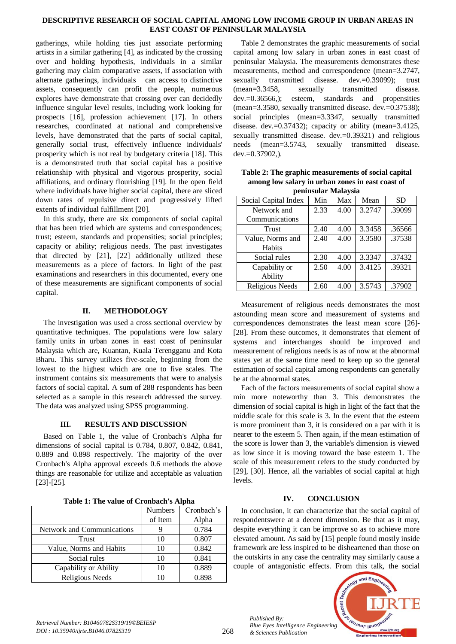### **DESCRIPTIVE RESEARCH OF SOCIAL CAPITAL AMONG LOW INCOME GROUP IN URBAN AREAS IN EAST COAST OF PENINSULAR MALAYSIA**

gatherings, while holding ties just associate performing artists in a similar gathering [4], as indicated by the crossing over and holding hypothesis, individuals in a similar gathering may claim comparative assets, if association with alternate gatherings, individuals can access to distinctive assets, consequently can profit the people, numerous explores have demonstrate that crossing over can decidedly influence singular level results, including work looking for prospects [16], profession achievement [17]. In others researches, coordinated at national and comprehensive levels, have demonstrated that the parts of social capital, generally social trust, effectively influence individuals' prosperity which is not real by budgetary criteria [18]. This is a demonstrated truth that social capital has a positive relationship with physical and vigorous prosperity, social affiliations, and ordinary flourishing [19]. In the open field where individuals have higher social capital, there are sliced down rates of repulsive direct and progressively lifted extents of individual fulfillment [20].

In this study, there are six components of social capital that has been tried which are systems and correspondences; trust; esteem, standards and propensities; social principles; capacity or ability; religious needs. The past investigates that directed by [21], [22] additionally utilized these measurements as a piece of factors. In light of the past examinations and researchers in this documented, every one of these measurements are significant components of social capital.

## **II. METHODOLOGY**

The investigation was used a cross sectional overview by quantitative techniques. The populations were low salary family units in urban zones in east coast of peninsular Malaysia which are, Kuantan, Kuala Terengganu and Kota Bharu. This survey utilizes five-scale, beginning from the lowest to the highest which are one to five scales. The instrument contains six measurements that were to analysis factors of social capital. A sum of 288 respondents has been selected as a sample in this research addressed the survey. The data was analyzed using SPSS programming.

## **III. RESULTS AND DISCUSSION**

Based on Table 1, the value of Cronbach's Alpha for dimensions of social capital is 0.784, 0.807, 0.842, 0.841, 0.889 and 0.898 respectively. The majority of the over Cronbach's Alpha approval exceeds 0.6 methods the above things are reasonable for utilize and acceptable as valuation [23]-[25].

**Table 1: The value of Cronbach's Alpha**

|                            | <b>Numbers</b> | Cronbach's |
|----------------------------|----------------|------------|
|                            | of Item        | Alpha      |
| Network and Communications |                | 0.784      |
| Trust                      | 10             | 0.807      |
| Value, Norms and Habits    | 10             | 0.842      |
| Social rules               | 10             | 0.841      |
| Capability or Ability      | 10             | 0.889      |
| Religious Needs            |                | 0.898      |

Table 2 demonstrates the graphic measurements of social capital among low salary in urban zones in east coast of peninsular Malaysia. The measurements demonstrates these measurements, method and correspondence (mean=3.2747, sexually transmitted disease. dev.=0.39099); trust (mean=3.3458, sexually transmitted disease. dev.=0.36566,); esteem, standards and propensities (mean=3.3580, sexually transmitted disease. dev.=0.37538); social principles (mean=3.3347, sexually transmitted disease. dev.=0.37432); capacity or ability (mean=3.4125, sexually transmitted disease. dev.=0.39321) and religious needs (mean=3.5743, sexually transmitted disease. dev.=0.37902,).

**Table 2: The graphic measurements of social capital among low salary in urban zones in east coast of peninsular Malaysia**

| Social Capital Index | Min  | Max  | Mean   | <b>SD</b> |
|----------------------|------|------|--------|-----------|
| Network and          | 2.33 | 4.00 | 3.2747 | .39099    |
| Communications       |      |      |        |           |
| <b>Trust</b>         | 2.40 | 4.00 | 3.3458 | .36566    |
| Value, Norms and     | 2.40 | 4.00 | 3.3580 | .37538    |
| Habits               |      |      |        |           |
| Social rules         | 2.30 | 4.00 | 3.3347 | .37432    |
| Capability or        | 2.50 | 4.00 | 3.4125 | .39321    |
| Ability              |      |      |        |           |
| Religious Needs      | 2.60 | 4.00 | 3.5743 | .37902    |

Measurement of religious needs demonstrates the most astounding mean score and measurement of systems and correspondences demonstrates the least mean score [26]- [28]. From these outcomes, it demonstrates that element of systems and interchanges should be improved and measurement of religious needs is as of now at the abnormal states yet at the same time need to keep up so the general estimation of social capital among respondents can generally be at the abnormal states.

Each of the factors measurements of social capital show a min more noteworthy than 3. This demonstrates the dimension of social capital is high in light of the fact that the middle scale for this scale is 3. In the event that the esteem is more prominent than 3, it is considered on a par with it is nearer to the esteem 5. Then again, if the mean estimation of the score is lower than 3, the variable's dimension is viewed as low since it is moving toward the base esteem 1. The scale of this measurement refers to the study conducted by [29], [30]. Hence, all the variables of social capital at high levels.

## **IV. CONCLUSION**

In conclusion, it can characterize that the social capital of respondentswere at a decent dimension. Be that as it may, despite everything it can be improve so as to achieve more elevated amount. As said by [15] people found mostly inside framework are less inspired to be disheartened than those on the outskirts in any case the centrality may similarly cause a couple of antagonistic effects. From this talk, the social



*Retrieval Number: B10460782S319/19©BEIESP DOI : 10.35940/ijrte.B1046.0782S319*

*Published By:*

*& Sciences Publication*